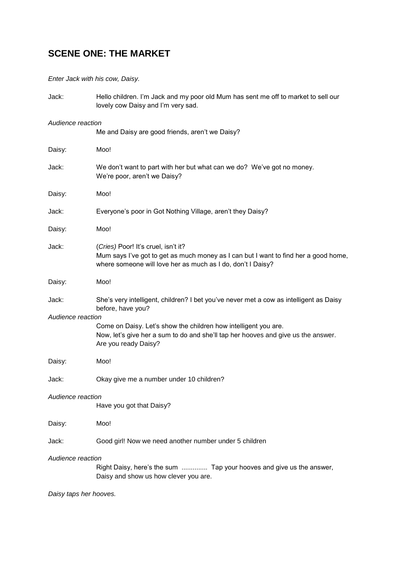## **SCENE ONE: THE MARKET**

*Enter Jack with his cow, Daisy.*

| Jack:                  | Hello children. I'm Jack and my poor old Mum has sent me off to market to sell our<br>lovely cow Daisy and I'm very sad.                                                                  |  |
|------------------------|-------------------------------------------------------------------------------------------------------------------------------------------------------------------------------------------|--|
| Audience reaction      | Me and Daisy are good friends, aren't we Daisy?                                                                                                                                           |  |
|                        |                                                                                                                                                                                           |  |
| Daisy:                 | Moo!                                                                                                                                                                                      |  |
| Jack:                  | We don't want to part with her but what can we do? We've got no money.<br>We're poor, aren't we Daisy?                                                                                    |  |
| Daisy:                 | Moo!                                                                                                                                                                                      |  |
| Jack:                  | Everyone's poor in Got Nothing Village, aren't they Daisy?                                                                                                                                |  |
| Daisy:                 | Moo!                                                                                                                                                                                      |  |
| Jack:                  | (Cries) Poor! It's cruel, isn't it?<br>Mum says I've got to get as much money as I can but I want to find her a good home,<br>where someone will love her as much as I do, don't I Daisy? |  |
| Daisy:                 | Moo!                                                                                                                                                                                      |  |
| Jack:                  | She's very intelligent, children? I bet you've never met a cow as intelligent as Daisy<br>before, have you?                                                                               |  |
| Audience reaction      |                                                                                                                                                                                           |  |
|                        | Come on Daisy. Let's show the children how intelligent you are.<br>Now, let's give her a sum to do and she'll tap her hooves and give us the answer.<br>Are you ready Daisy?              |  |
| Daisy:                 | Moo!                                                                                                                                                                                      |  |
| Jack:                  | Okay give me a number under 10 children?                                                                                                                                                  |  |
| Audience reaction      | Have you got that Daisy?                                                                                                                                                                  |  |
| Daisy:                 | Moo!                                                                                                                                                                                      |  |
| Jack:                  | Good girl! Now we need another number under 5 children                                                                                                                                    |  |
| Audience reaction      |                                                                                                                                                                                           |  |
|                        | Right Daisy, here's the sum  Tap your hooves and give us the answer,<br>Daisy and show us how clever you are.                                                                             |  |
| Daisy taps her hooves. |                                                                                                                                                                                           |  |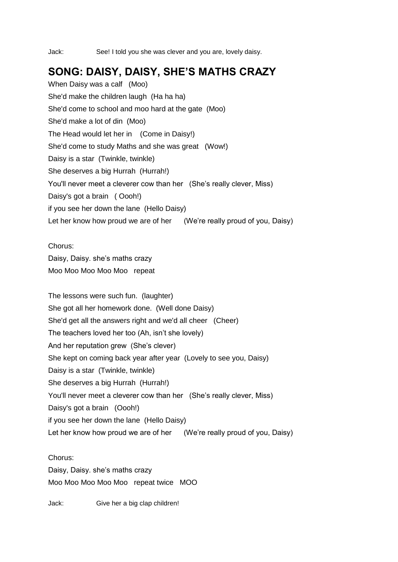Jack: See! I told you she was clever and you are, lovely daisy.

## **SONG: DAISY, DAISY, SHE'S MATHS CRAZY**

When Daisy was a calf (Moo) She'd make the children laugh (Ha ha ha) She'd come to school and moo hard at the gate (Moo) She'd make a lot of din (Moo) The Head would let her in (Come in Daisy!) She'd come to study Maths and she was great (Wow!) Daisy is a star (Twinkle, twinkle) She deserves a big Hurrah (Hurrah!) You'll never meet a cleverer cow than her (She's really clever, Miss) Daisy's got a brain ( Oooh!) if you see her down the lane (Hello Daisy) Let her know how proud we are of her (We're really proud of you, Daisy)

### Chorus:

Daisy, Daisy. she's maths crazy Moo Moo Moo Moo Moo repeat

The lessons were such fun. (laughter) She got all her homework done. (Well done Daisy) She'd get all the answers right and we'd all cheer (Cheer) The teachers loved her too (Ah, isn't she lovely) And her reputation grew (She's clever) She kept on coming back year after year (Lovely to see you, Daisy) Daisy is a star (Twinkle, twinkle) She deserves a big Hurrah (Hurrah!) You'll never meet a cleverer cow than her (She's really clever, Miss) Daisy's got a brain (Oooh!) if you see her down the lane (Hello Daisy) Let her know how proud we are of her (We're really proud of you, Daisy)

Chorus: Daisy, Daisy. she's maths crazy Moo Moo Moo Moo Moo repeat twice MOO

Jack: Give her a big clap children!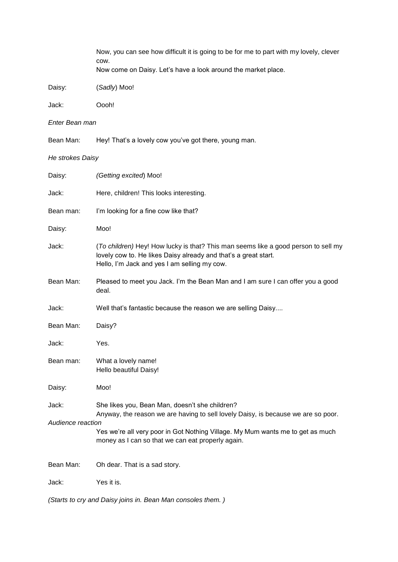|                   | Now, you can see how difficult it is going to be for me to part with my lovely, clever<br>COW.                                                                                                                           |
|-------------------|--------------------------------------------------------------------------------------------------------------------------------------------------------------------------------------------------------------------------|
|                   | Now come on Daisy. Let's have a look around the market place.                                                                                                                                                            |
| Daisy:            | (Sadly) Moo!                                                                                                                                                                                                             |
| Jack:             | Oooh!                                                                                                                                                                                                                    |
| Enter Bean man    |                                                                                                                                                                                                                          |
| Bean Man:         | Hey! That's a lovely cow you've got there, young man.                                                                                                                                                                    |
| He strokes Daisy  |                                                                                                                                                                                                                          |
| Daisy:            | (Getting excited) Moo!                                                                                                                                                                                                   |
| Jack:             | Here, children! This looks interesting.                                                                                                                                                                                  |
| Bean man:         | I'm looking for a fine cow like that?                                                                                                                                                                                    |
| Daisy:            | Moo!                                                                                                                                                                                                                     |
| Jack:             | (To children) Hey! How lucky is that? This man seems like a good person to sell my<br>lovely cow to. He likes Daisy already and that's a great start.<br>Hello, I'm Jack and yes I am selling my cow.                    |
| Bean Man:         | Pleased to meet you Jack. I'm the Bean Man and I am sure I can offer you a good<br>deal.                                                                                                                                 |
| Jack:             | Well that's fantastic because the reason we are selling Daisy                                                                                                                                                            |
| Bean Man:         | Daisy?                                                                                                                                                                                                                   |
| Jack:             | Yes.                                                                                                                                                                                                                     |
| Bean man:         | What a lovely name!<br>Hello beautiful Daisy!                                                                                                                                                                            |
| Daisy:            | Moo!                                                                                                                                                                                                                     |
| Jack:             | She likes you, Bean Man, doesn't she children?                                                                                                                                                                           |
| Audience reaction | Anyway, the reason we are having to sell lovely Daisy, is because we are so poor.<br>Yes we're all very poor in Got Nothing Village. My Mum wants me to get as much<br>money as I can so that we can eat properly again. |
| Bean Man:         | Oh dear. That is a sad story.                                                                                                                                                                                            |
| Jack:             | Yes it is.                                                                                                                                                                                                               |
|                   | (Starts to cry and Daisy joins in. Bean Man consoles them.)                                                                                                                                                              |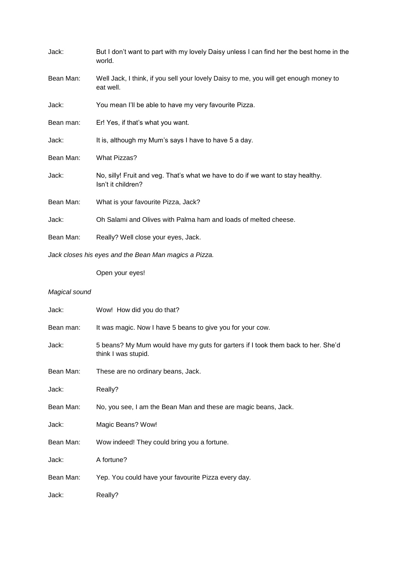| Jack:     | But I don't want to part with my lovely Daisy unless I can find her the best home in the<br>world.    |
|-----------|-------------------------------------------------------------------------------------------------------|
| Bean Man: | Well Jack, I think, if you sell your lovely Daisy to me, you will get enough money to<br>eat well.    |
| Jack:     | You mean I'll be able to have my very favourite Pizza.                                                |
| Bean man: | Er! Yes, if that's what you want.                                                                     |
| Jack:     | It is, although my Mum's says I have to have 5 a day.                                                 |
| Bean Man: | <b>What Pizzas?</b>                                                                                   |
| Jack:     | No, silly! Fruit and veg. That's what we have to do if we want to stay healthy.<br>Isn't it children? |
| Bean Man: | What is your favourite Pizza, Jack?                                                                   |
| Jack:     | Oh Salami and Olives with Palma ham and loads of melted cheese.                                       |
| Bean Man: | Really? Well close your eyes, Jack.                                                                   |
|           | Jack closes his eyes and the Bean Man magics a Pizza.                                                 |

Open your eyes!

| Jack:     | Wow! How did you do that?                                                                               |
|-----------|---------------------------------------------------------------------------------------------------------|
| Bean man: | It was magic. Now I have 5 beans to give you for your cow.                                              |
| Jack:     | 5 beans? My Mum would have my guts for garters if I took them back to her. She'd<br>think I was stupid. |
| Bean Man: | These are no ordinary beans, Jack.                                                                      |
| Jack:     | Really?                                                                                                 |
| Bean Man: | No, you see, I am the Bean Man and these are magic beans, Jack.                                         |
| Jack:     | Magic Beans? Wow!                                                                                       |
| Bean Man: | Wow indeed! They could bring you a fortune.                                                             |
| Jack:     | A fortune?                                                                                              |
| Bean Man: | Yep. You could have your favourite Pizza every day.                                                     |
| Jack:     | Really?                                                                                                 |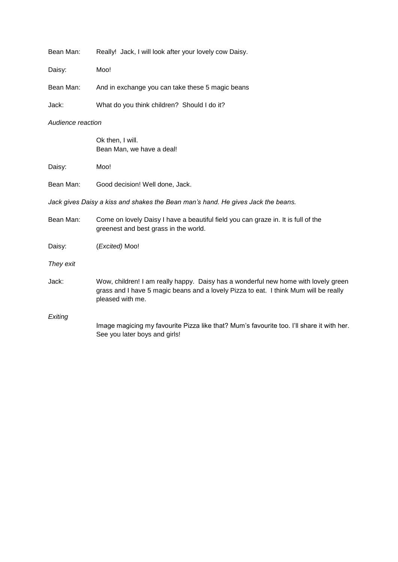| Bean Man: |  |  |  | Really! Jack, I will look after your lovely cow Daisy. |  |  |  |
|-----------|--|--|--|--------------------------------------------------------|--|--|--|
|-----------|--|--|--|--------------------------------------------------------|--|--|--|

Daisy: Moo!

Bean Man: And in exchange you can take these 5 magic beans

Jack: What do you think children? Should I do it?

#### *Audience reaction*

Ok then, I will. Bean Man, we have a deal!

Daisy: Moo!

| Bean Man: | Good decision! Well done, Jack. |  |
|-----------|---------------------------------|--|
|           |                                 |  |

*Jack gives Daisy a kiss and shakes the Bean man's hand. He gives Jack the beans.*

| Bean Man: | Come on lovely Daisy I have a beautiful field you can graze in. It is full of the<br>greenest and best grass in the world.                                                                     |
|-----------|------------------------------------------------------------------------------------------------------------------------------------------------------------------------------------------------|
| Daisy:    | ( <i>Excited</i> ) Moo!                                                                                                                                                                        |
| They exit |                                                                                                                                                                                                |
| Jack:     | Wow, children! I am really happy. Daisy has a wonderful new home with lovely green<br>grass and I have 5 magic beans and a lovely Pizza to eat. I think Mum will be really<br>pleased with me. |
| Exiting   | Image magicing my favourite Pizza like that? Mum's favourite too. I'll share it with her.<br>See you later boys and girls!                                                                     |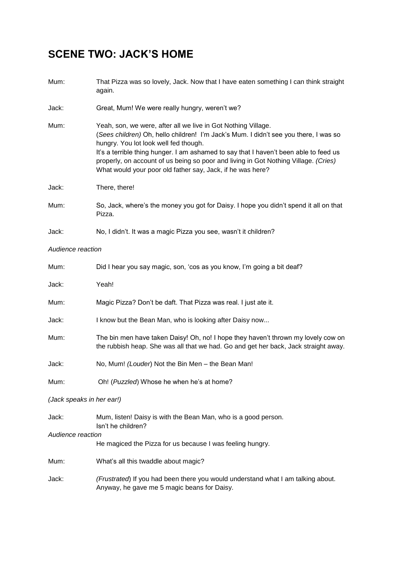# **SCENE TWO: JACK'S HOME**

| Mum:                      | That Pizza was so lovely, Jack. Now that I have eaten something I can think straight<br>again.                                                                                                                                                                                                                                                                                                                                               |
|---------------------------|----------------------------------------------------------------------------------------------------------------------------------------------------------------------------------------------------------------------------------------------------------------------------------------------------------------------------------------------------------------------------------------------------------------------------------------------|
| Jack:                     | Great, Mum! We were really hungry, weren't we?                                                                                                                                                                                                                                                                                                                                                                                               |
| Mum:                      | Yeah, son, we were, after all we live in Got Nothing Village.<br>(Sees children) Oh, hello children! I'm Jack's Mum. I didn't see you there, I was so<br>hungry. You lot look well fed though.<br>It's a terrible thing hunger. I am ashamed to say that I haven't been able to feed us<br>properly, on account of us being so poor and living in Got Nothing Village. (Cries)<br>What would your poor old father say, Jack, if he was here? |
| Jack:                     | There, there!                                                                                                                                                                                                                                                                                                                                                                                                                                |
| Mum:                      | So, Jack, where's the money you got for Daisy. I hope you didn't spend it all on that<br>Pizza.                                                                                                                                                                                                                                                                                                                                              |
| Jack:                     | No, I didn't. It was a magic Pizza you see, wasn't it children?                                                                                                                                                                                                                                                                                                                                                                              |
| Audience reaction         |                                                                                                                                                                                                                                                                                                                                                                                                                                              |
| Mum:                      | Did I hear you say magic, son, 'cos as you know, I'm going a bit deaf?                                                                                                                                                                                                                                                                                                                                                                       |
| Jack:                     | Yeah!                                                                                                                                                                                                                                                                                                                                                                                                                                        |
| Mum:                      | Magic Pizza? Don't be daft. That Pizza was real. I just ate it.                                                                                                                                                                                                                                                                                                                                                                              |
| Jack:                     | I know but the Bean Man, who is looking after Daisy now                                                                                                                                                                                                                                                                                                                                                                                      |
| Mum:                      | The bin men have taken Daisy! Oh, no! I hope they haven't thrown my lovely cow on<br>the rubbish heap. She was all that we had. Go and get her back, Jack straight away.                                                                                                                                                                                                                                                                     |
| Jack:                     | No, Mum! (Louder) Not the Bin Men - the Bean Man!                                                                                                                                                                                                                                                                                                                                                                                            |
| Mum:                      | Oh! (Puzzled) Whose he when he's at home?                                                                                                                                                                                                                                                                                                                                                                                                    |
| (Jack speaks in her ear!) |                                                                                                                                                                                                                                                                                                                                                                                                                                              |
| Jack:                     | Mum, listen! Daisy is with the Bean Man, who is a good person.<br>Isn't he children?                                                                                                                                                                                                                                                                                                                                                         |
| Audience reaction         | He magiced the Pizza for us because I was feeling hungry.                                                                                                                                                                                                                                                                                                                                                                                    |
| Mum:                      | What's all this twaddle about magic?                                                                                                                                                                                                                                                                                                                                                                                                         |
| Jack:                     | (Frustrated) If you had been there you would understand what I am talking about.<br>Anyway, he gave me 5 magic beans for Daisy.                                                                                                                                                                                                                                                                                                              |